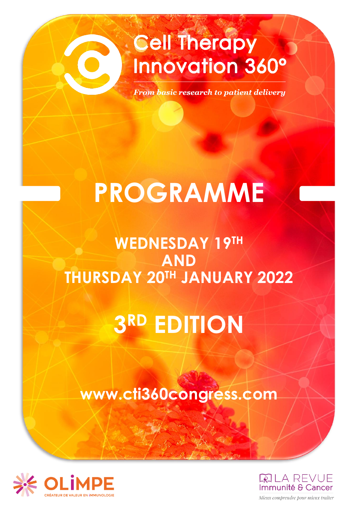## **Cell Therapy Innovation 360°**

**From basic research to patient delivery** 

# **PROGRAMME**

## **WEDNESDAY 19TH AND THURSDAY 20TH JANUARY 2022**

## **3 RD EDITION**

### **www.cti360congress.com**





Mieux comprendre pour mieux traiter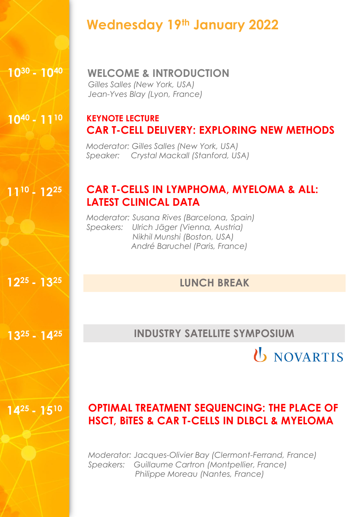### **Wednesday 19th January 2022**

#### **10<sup>30</sup>- 10<sup>40</sup>WELCOME & INTRODUCTION**

*Gilles Salles (New York, USA) Jean-Yves Blay (Lyon, France)*

#### **10<sup>40</sup>- 11<sup>10</sup> KEYNOTE LECTURE CAR T-CELL DELIVERY: EXPLORING NEW METHODS**

*Moderator: Gilles Salles (New York, USA) Speaker: Crystal Mackall (Stanford, USA)*

#### **CAR T-CELLS IN LYMPHOMA, MYELOMA & ALL: LATEST CLINICAL DATA**

*Moderator: Susana Rives (Barcelona, Spain) Speakers: Ulrich Jäger (Vienna, Austria) Nikhil Munshi (Boston, USA) André Baruchel (Paris, France)* 

#### **12 LUNCH BREAK <sup>25</sup>- 13<sup>25</sup>**

**13<sup>25</sup>- 14<sup>25</sup>INDUSTRY SATELLITE SYMPOSIUM** 



#### **14<sup>25</sup>- 15<sup>10</sup> OPTIMAL TREATMENT SEQUENCING: THE PLACE OF HSCT, BiTES & CAR T-CELLS IN DLBCL & MYELOMA**

*Moderator: Jacques-Olivier Bay (Clermont-Ferrand, France) Speakers: Guillaume Cartron (Montpellier, France) Philippe Moreau (Nantes, France)*

**11<sup>10</sup>- 12<sup>25</sup>**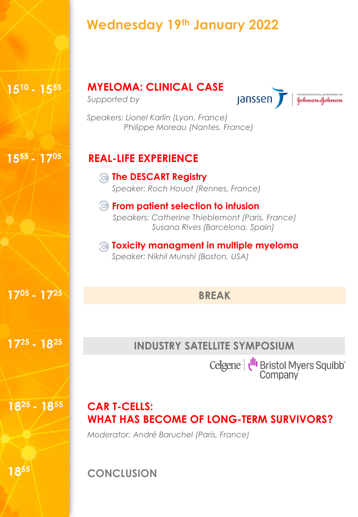### **Wednesday 19th January 2022**

#### **MYELOMA: CLINICAL CASE**

*Supported by*

**Janssen** 



*Speakers: Lionel Karlin (Lyon, France) Philippe Moreau (Nantes, France)*

### **15<sup>55</sup>- 17<sup>05</sup> REAL-LIFE EXPERIENCE**

#### **The DESCART Registry** *Speaker: Roch Houot (Rennes, France)*

#### **From patient selection to infusion** *Speakers: Catherine Thieblemont (Paris, France) Susana Rives (Barcelona, Spain)*

#### **Toxicity managment in multiple myeloma** *Speaker: Nikhil Munshi (Boston, USA)*

#### **BREAK**

### **INDUSTRY SATELLITE SYMPOSIUM**

Celgene | U<sup>II</sup>I Bristol Myers Squibb<sup>"</sup><br>Company

#### **18<sup>25</sup>- 18<sup>55</sup> CAR T-CELLS: WHAT HAS BECOME OF LONG-TERM SURVIVORS?**

*Moderator: André Baruchel (Paris, France)*

**18<sup>55</sup> CONCLUSION**

**15<sup>10</sup>- 15<sup>55</sup>**

**17<sup>05</sup>- 17<sup>25</sup>**

**17<sup>25</sup>- 18<sup>25</sup>**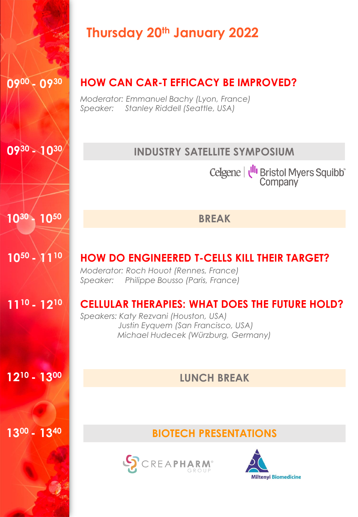|                                     | <b>Thursday 20th January 2022</b>                                                                                                                                           |
|-------------------------------------|-----------------------------------------------------------------------------------------------------------------------------------------------------------------------------|
| 0900 - 0930                         | <b>HOW CAN CAR-T EFFICACY BE IMPROVED?</b><br>Moderator: Emmanuel Bachy (Lyon, France)<br>Speaker: Stanley Riddell (Seattle, USA)                                           |
| $09^{30} - 10^{30}$                 | <b>INDUSTRY SATELLITE SYMPOSIUM</b>                                                                                                                                         |
|                                     | Celgene   U <sup>II</sup> I Bristol Myers Squibb <sup>®</sup><br>Company                                                                                                    |
| 1050<br>1030                        | <b>BREAK</b>                                                                                                                                                                |
| $10^{50} - 11^{10}$                 | <b>HOW DO ENGINEERED T-CELLS KILL THEIR TARGET?</b><br>Moderator: Roch Houot (Rennes, France)<br>Speaker: Philippe Bousso (Paris, France)                                   |
| 11 <sup>10</sup> - 12 <sup>10</sup> | <b>CELLULAR THERAPIES: WHAT DOES THE FUTURE HOLD?</b><br>Speakers: Katy Rezvani (Houston, USA)<br>Justin Eyquem (San Francisco, USA)<br>Michael Hudecek (Würzburg, Germany) |
| 12 <sup>10</sup> - 1300             | <b>LUNCH BREAK</b>                                                                                                                                                          |
|                                     |                                                                                                                                                                             |
| 1300 - 1340                         | <b>BIOTECH PRESENTATIONS</b>                                                                                                                                                |
|                                     | <b>SCREAPHARM</b><br><b>Miltenyi Biomedicine</b>                                                                                                                            |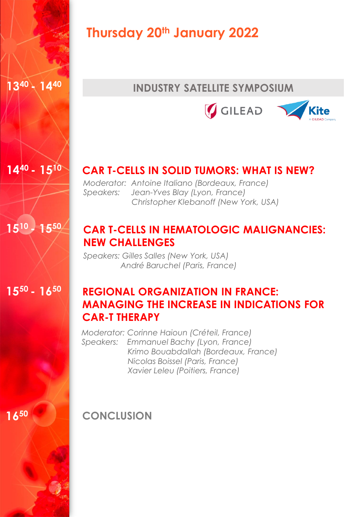

**14<sup>40</sup>- 15<sup>10</sup>**

**15<sup>10</sup>- 15<sup>50</sup>**

### **Thursday 20th January 2022**

#### **INDUSTRY SATELLITE SYMPOSIUM**





#### **CAR T-CELLS IN SOLID TUMORS: WHAT IS NEW?**

*Moderator: Antoine Italiano (Bordeaux, France) Speakers: Jean-Yves Blay (Lyon, France) Christopher Klebanoff (New York, USA)*

#### **CAR T-CELLS IN HEMATOLOGIC MALIGNANCIES: NEW CHALLENGES**

*Speakers: Gilles Salles (New York, USA) André Baruchel (Paris, France)*

**15<sup>50</sup>- 16<sup>50</sup>**

#### **REGIONAL ORGANIZATION IN FRANCE: MANAGING THE INCREASE IN INDICATIONS FOR CAR-T THERAPY**

*Moderator: Corinne Haioun (Créteil, France) Speakers: Emmanuel Bachy (Lyon, France) Krimo Bouabdallah (Bordeaux, France) Nicolas Boissel (Paris, France) Xavier Leleu (Poitiers, France)* 

**16<sup>50</sup>**

**CONCLUSION**